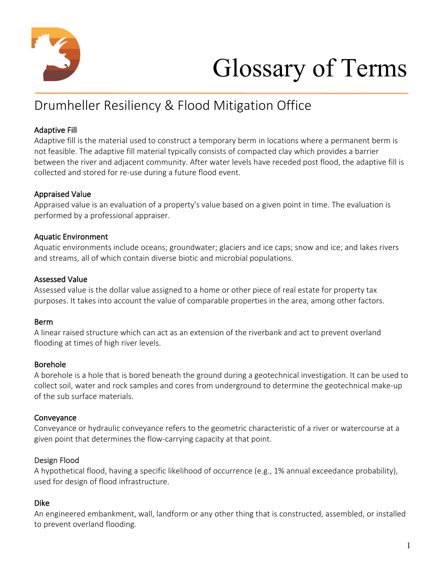

# Glossary of Terms

# Drumheller Resiliency & Flood Mitigation Office

# Adaptive Fill

Adaptive fill is the material used to construct a temporary berm in locations where a permanent berm is not feasible. The adaptive fill material typically consists of compacted clay which provides a barrier between the river and adjacent community. After water levels have receded post flood, the adaptive fill is collected and stored for re-use during a future flood event.

# Appraised Value

Appraised value is an evaluation of a property's value based on a given point in time. The evaluation is performed by a professional appraiser.

# Aquatic Environment

Aquatic environments include oceans; groundwater; glaciers and ice caps; snow and ice; and lakes rivers and streams, all of which contain diverse biotic and microbial populations.

# Assessed Value

Assessed value is the dollar value assigned to a home or other piece of real estate for property tax purposes. It takes into account the value of comparable properties in the area, among other factors.

#### Berm

A linear raised structure which can act as an extension of the riverbank and act to prevent overland flooding at times of high river levels.

# Borehole

A borehole is a hole that is bored beneath the ground during a geotechnical investigation. It can be used to collect soil, water and rock samples and cores from underground to determine the geotechnical make-up of the sub surface materials.

# **Conveyance**

Conveyance or hydraulic conveyance refers to the geometric characteristic of a river or watercourse at a given point that determines the flow-carrying capacity at that point.

# Design Flood

A hypothetical flood, having a specific likelihood of occurrence (e.g., 1% annual exceedance probability), used for design of flood infrastructure.

# Dike

An engineered embankment, wall, landform or any other thing that is constructed, assembled, or installed to prevent overland flooding.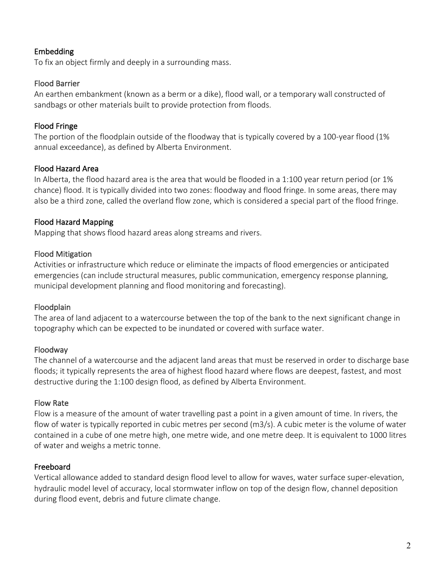#### Embedding

To fix an object firmly and deeply in a surrounding mass.

#### Flood Barrier

An earthen embankment (known as a berm or a dike), flood wall, or a temporary wall constructed of sandbags or other materials built to provide protection from floods.

# Flood Fringe

The portion of the floodplain outside of the floodway that is typically covered by a 100-year flood (1% annual exceedance), as defined by Alberta Environment.

# Flood Hazard Area

In Alberta, the flood hazard area is the area that would be flooded in a 1:100 year return period (or 1% chance) flood. It is typically divided into two zones: floodway and flood fringe. In some areas, there may also be a third zone, called the overland flow zone, which is considered a special part of the flood fringe.

# Flood Hazard Mapping

Mapping that shows flood hazard areas along streams and rivers.

# Flood Mitigation

Activities or infrastructure which reduce or eliminate the impacts of flood emergencies or anticipated emergencies (can include structural measures, public communication, emergency response planning, municipal development planning and flood monitoring and forecasting).

#### Floodplain

The area of land adjacent to a watercourse between the top of the bank to the next significant change in topography which can be expected to be inundated or covered with surface water.

#### Floodway

The channel of a watercourse and the adjacent land areas that must be reserved in order to discharge base floods; it typically represents the area of highest flood hazard where flows are deepest, fastest, and most destructive during the 1:100 design flood, as defined by Alberta Environment.

#### Flow Rate

Flow is a measure of the amount of water travelling past a point in a given amount of time. In rivers, the flow of water is typically reported in cubic metres per second (m3/s). A cubic meter is the volume of water contained in a cube of one metre high, one metre wide, and one metre deep. It is equivalent to 1000 litres of water and weighs a metric tonne.

# Freeboard

Vertical allowance added to standard design flood level to allow for waves, water surface super-elevation, hydraulic model level of accuracy, local stormwater inflow on top of the design flow, channel deposition during flood event, debris and future climate change.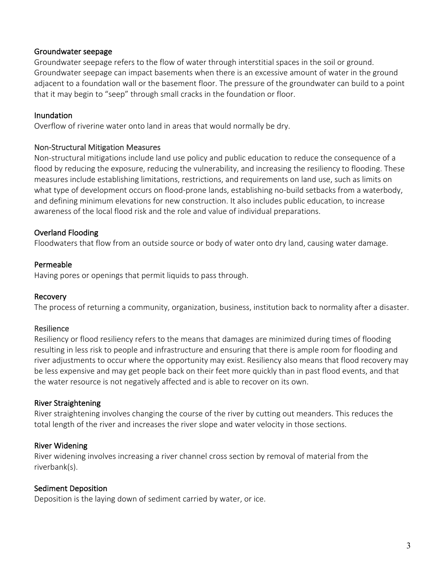#### Groundwater seepage

Groundwater seepage refers to the flow of water through interstitial spaces in the soil or ground. Groundwater seepage can impact basements when there is an excessive amount of water in the ground adjacent to a foundation wall or the basement floor. The pressure of the groundwater can build to a point that it may begin to "seep" through small cracks in the foundation or floor.

#### Inundation

Overflow of riverine water onto land in areas that would normally be dry.

#### Non-Structural Mitigation Measures

Non-structural mitigations include land use policy and public education to reduce the consequence of a flood by reducing the exposure, reducing the vulnerability, and increasing the resiliency to flooding. These measures include establishing limitations, restrictions, and requirements on land use, such as limits on what type of development occurs on flood-prone lands, establishing no-build setbacks from a waterbody, and defining minimum elevations for new construction. It also includes public education, to increase awareness of the local flood risk and the role and value of individual preparations.

#### Overland Flooding

Floodwaters that flow from an outside source or body of water onto dry land, causing water damage.

#### Permeable

Having pores or openings that permit liquids to pass through.

#### Recovery

The process of returning a community, organization, business, institution back to normality after a disaster.

#### Resilience

Resiliency or flood resiliency refers to the means that damages are minimized during times of flooding resulting in less risk to people and infrastructure and ensuring that there is ample room for flooding and river adjustments to occur where the opportunity may exist. Resiliency also means that flood recovery may be less expensive and may get people back on their feet more quickly than in past flood events, and that the water resource is not negatively affected and is able to recover on its own.

#### River Straightening

River straightening involves changing the course of the river by cutting out meanders. This reduces the total length of the river and increases the river slope and water velocity in those sections.

#### River Widening

River widening involves increasing a river channel cross section by removal of material from the riverbank(s).

#### Sediment Deposition

Deposition is the laying down of sediment carried by water, or ice.